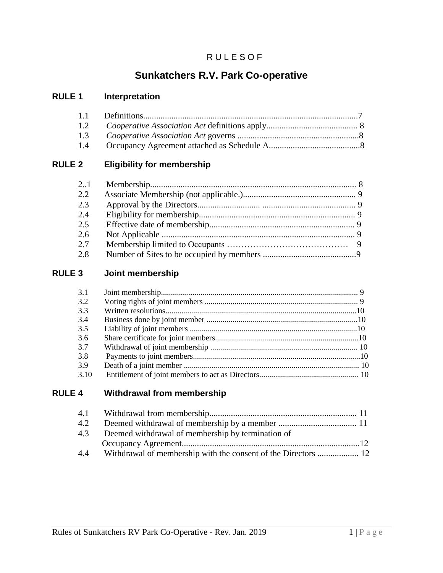## **RULESOF**

# **Sunkatchers R.V. Park Co-operative**

## **RULE 1 Interpretation**

## **RULE 2 Eligibility for membership**

| 21  |  |
|-----|--|
| 2.2 |  |
| 2.3 |  |
| 2.4 |  |
| 2.5 |  |
| 2.6 |  |
| 2.7 |  |
| 2.8 |  |

## **RULE 3 Joint membership**

| 3.1  |  |
|------|--|
| 3.2  |  |
| 3.3  |  |
| 3.4  |  |
| 3.5  |  |
| 3.6  |  |
| 3.7  |  |
| 3.8  |  |
| 3.9  |  |
| 3.10 |  |

## **RULE 4 Withdrawal from membership**

| 4.1 |                                                   |  |
|-----|---------------------------------------------------|--|
| 4.2 |                                                   |  |
| 43  | Deemed withdrawal of membership by termination of |  |
|     |                                                   |  |
| 4.4 |                                                   |  |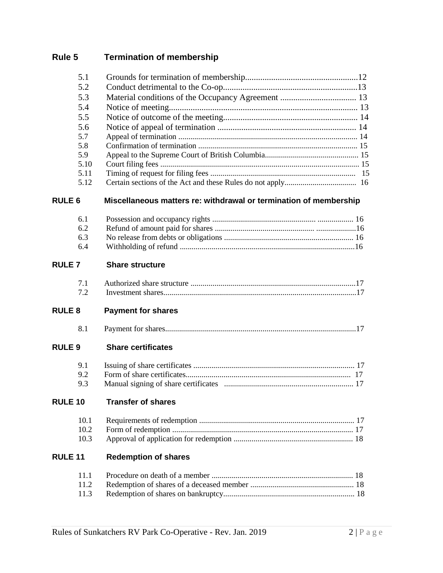# **Rule 5 Termination of membership**

|                | 5.1          |                                                                   |  |
|----------------|--------------|-------------------------------------------------------------------|--|
|                | 5.2          |                                                                   |  |
|                | 5.3          |                                                                   |  |
|                | 5.4          |                                                                   |  |
|                | 5.5          |                                                                   |  |
|                | 5.6          |                                                                   |  |
|                | 5.7          |                                                                   |  |
|                | 5.8          |                                                                   |  |
|                | 5.9          |                                                                   |  |
|                | 5.10<br>5.11 |                                                                   |  |
|                | 5.12         |                                                                   |  |
| <b>RULE 6</b>  |              | Miscellaneous matters re: withdrawal or termination of membership |  |
|                | 6.1          |                                                                   |  |
|                | 6.2          |                                                                   |  |
|                | 6.3          |                                                                   |  |
|                | 6.4          |                                                                   |  |
| <b>RULE7</b>   |              | <b>Share structure</b>                                            |  |
|                | 7.1          |                                                                   |  |
|                | 7.2          |                                                                   |  |
| <b>RULE 8</b>  |              | <b>Payment for shares</b>                                         |  |
|                | 8.1          |                                                                   |  |
| <b>RULE 9</b>  |              | <b>Share certificates</b>                                         |  |
|                | 9.1          |                                                                   |  |
|                | 9.2          |                                                                   |  |
|                | 9.3          |                                                                   |  |
| <b>RULE 10</b> |              | <b>Transfer of shares</b>                                         |  |
|                | 10.1         |                                                                   |  |
|                | 10.2         |                                                                   |  |
|                | 10.3         |                                                                   |  |
| <b>RULE 11</b> |              | <b>Redemption of shares</b>                                       |  |
|                | 11.1         |                                                                   |  |
|                | 11.2         |                                                                   |  |
|                | 11.3         |                                                                   |  |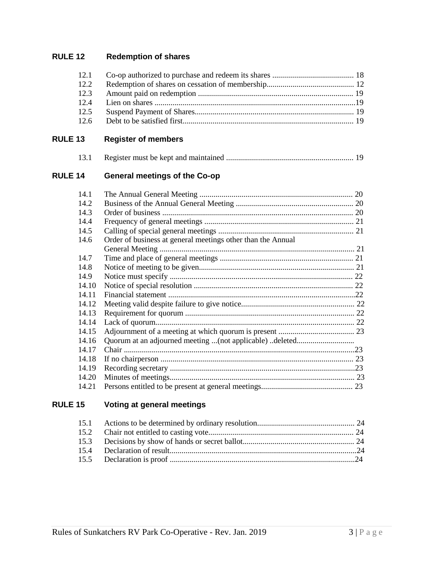## **RULE 12 Redemption of shares**

| 12.1 |  |
|------|--|
| 12.2 |  |
| 12.3 |  |
| 12.4 |  |
| 12.5 |  |
| 12.6 |  |

| <b>RULE 13</b> | <b>Register of members</b> |
|----------------|----------------------------|
|----------------|----------------------------|

| 13.1 |  |
|------|--|
|      |  |

## **RULE 14 General meetings of the Co-op**

| 14.1  |                                                             | 20 |
|-------|-------------------------------------------------------------|----|
| 14.2  |                                                             |    |
| 14.3  |                                                             |    |
| 14.4  |                                                             |    |
| 14.5  |                                                             |    |
| 14.6  | Order of business at general meetings other than the Annual |    |
|       |                                                             |    |
| 14.7  |                                                             |    |
| 14.8  |                                                             |    |
| 14.9  |                                                             |    |
| 14.10 |                                                             |    |
| 14.11 |                                                             |    |
| 14.12 |                                                             |    |
| 14.13 |                                                             |    |
| 14.14 |                                                             |    |
| 14.15 |                                                             |    |
| 14.16 |                                                             |    |
| 14.17 |                                                             |    |
| 14.18 |                                                             |    |
| 14.19 |                                                             |    |
| 14.20 |                                                             |    |
| 14.21 |                                                             |    |

## **RULE 15 Voting at general meetings**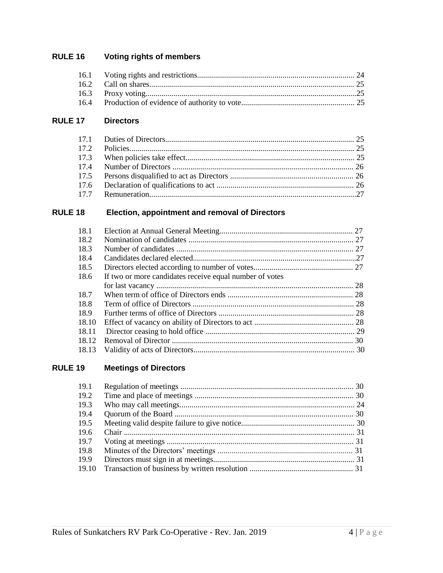#### **Voting rights of members RULE 16**

#### **RULE 17 Directors**

#### Election, appointment and removal of Directors **RULE 18**

| 18.1  |                                                         |  |
|-------|---------------------------------------------------------|--|
| 18.2  |                                                         |  |
| 18.3  |                                                         |  |
| 18.4  |                                                         |  |
| 18.5  |                                                         |  |
| 18.6  | If two or more candidates receive equal number of votes |  |
|       |                                                         |  |
| 18.7  |                                                         |  |
| 18.8  |                                                         |  |
| 18.9  |                                                         |  |
| 18.10 |                                                         |  |
| 18.11 |                                                         |  |
| 18.12 |                                                         |  |
| 18.13 |                                                         |  |

#### **Meetings of Directors RULE 19**

| 19.1  |  |
|-------|--|
| 19.2  |  |
| 19.3  |  |
| 19.4  |  |
| 19.5  |  |
| 19.6  |  |
| 19.7  |  |
| 19.8  |  |
| 19.9  |  |
| 19.10 |  |
|       |  |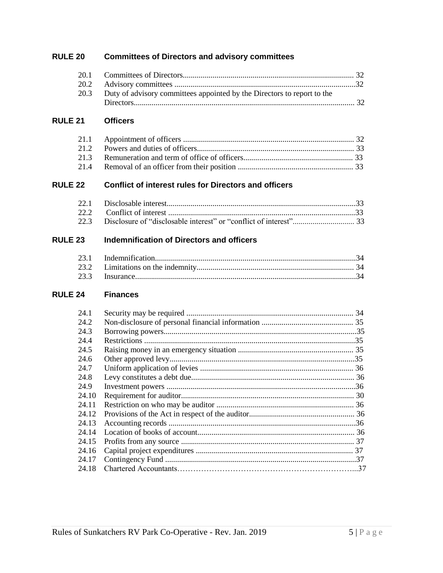## **RULE 20 Committees of Directors and advisory committees**

| 20.3 Duty of advisory committees appointed by the Directors to report to the |  |
|------------------------------------------------------------------------------|--|
|                                                                              |  |

#### **RULE 21 Officers**

#### **RULE 22 Conflict of interest rules for Directors and officers**

#### **RULE 23 Indemnification of Directors and officers**

#### **RULE 24 Finances**

| 24.1  | 34 |
|-------|----|
| 24.2  |    |
| 24.3  |    |
| 24.4  |    |
| 24.5  |    |
| 24.6  |    |
| 24.7  |    |
| 24.8  |    |
| 24.9  |    |
| 24.10 |    |
| 24.11 |    |
| 24.12 |    |
| 24.13 |    |
| 24.14 |    |
| 24.15 |    |
| 24.16 |    |
| 24.17 |    |
| 24.18 |    |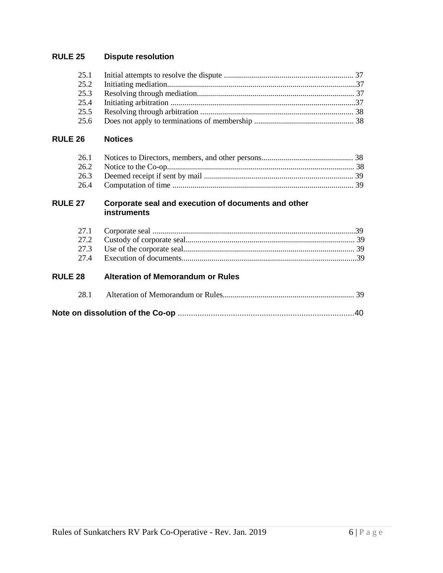## **RULE 25 Dispute resolution**

| 25.2 |  |
|------|--|
| 25.3 |  |
|      |  |
|      |  |
| 25.6 |  |

#### **RULE 26 Notices**

#### **RULE 27 Corporate seal and execution of documents and other instruments**

#### **RULE 28 Alteration of Memorandum or Rules**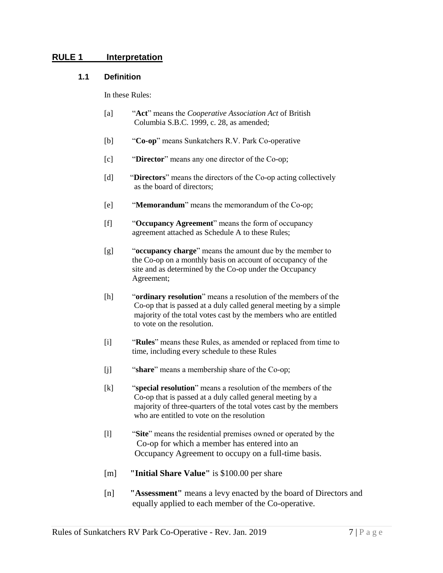#### **RULE 1 Interpretation**

#### **1.1 Definition**

In these Rules:

- [a] "**Act**" means the *Cooperative Association Act* of British Columbia S.B.C. 1999, c. 28, as amended;
- [b] "**Co-op**" means Sunkatchers R.V. Park Co-operative
- [c] "**Director**" means any one director of the Co-op;
- [d] "**Directors**" means the directors of the Co-op acting collectively as the board of directors;
- [e] "**Memorandum**" means the memorandum of the Co-op;
- [f] "**Occupancy Agreement**" means the form of occupancy agreement attached as Schedule A to these Rules;
- [g] "**occupancy charge**" means the amount due by the member to the Co-op on a monthly basis on account of occupancy of the site and as determined by the Co-op under the Occupancy Agreement;
- [h] "**ordinary resolution**" means a resolution of the members of the Co-op that is passed at a duly called general meeting by a simple majority of the total votes cast by the members who are entitled to vote on the resolution.
- [i] "**Rules**" means these Rules, as amended or replaced from time to time, including every schedule to these Rules
- [j] "**share**" means a membership share of the Co-op;
- [k] "**special resolution**" means a resolution of the members of the Co-op that is passed at a duly called general meeting by a majority of three-quarters of the total votes cast by the members who are entitled to vote on the resolution
- [l] "**Site**" means the residential premises owned or operated by the Co-op for which a member has entered into an Occupancy Agreement to occupy on a full-time basis.
- [m] **"Initial Share Value"** is \$100.00 per share
- [n] **"Assessment"** means a levy enacted by the board of Directors and equally applied to each member of the Co-operative.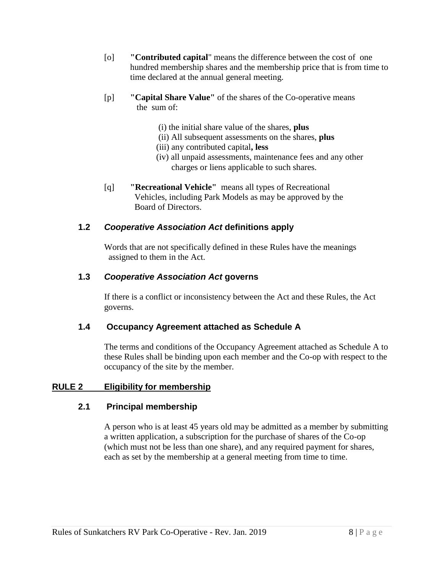- [o] **"Contributed capital**" means the difference between the cost of one hundred membership shares and the membership price that is from time to time declared at the annual general meeting.
- [p] **"Capital Share Value"** of the shares of the Co-operative means the sum of:
	- (i) the initial share value of the shares, **plus**
	- (ii) All subsequent assessments on the shares, **plus**
	- (iii) any contributed capital**, less**
	- (iv) all unpaid assessments, maintenance fees and any other charges or liens applicable to such shares.
- [q] **"Recreational Vehicle"** means all types of Recreational Vehicles, including Park Models as may be approved by the Board of Directors.

## **1.2** *Cooperative Association Act* **definitions apply**

Words that are not specifically defined in these Rules have the meanings assigned to them in the Act.

## **1.3** *Cooperative Association Act* **governs**

If there is a conflict or inconsistency between the Act and these Rules, the Act governs.

## **1.4 Occupancy Agreement attached as Schedule A**

The terms and conditions of the Occupancy Agreement attached as Schedule A to these Rules shall be binding upon each member and the Co-op with respect to the occupancy of the site by the member.

## **RULE 2 Eligibility for membership**

## **2.1 Principal membership**

A person who is at least 45 years old may be admitted as a member by submitting a written application, a subscription for the purchase of shares of the Co-op (which must not be less than one share), and any required payment for shares, each as set by the membership at a general meeting from time to time.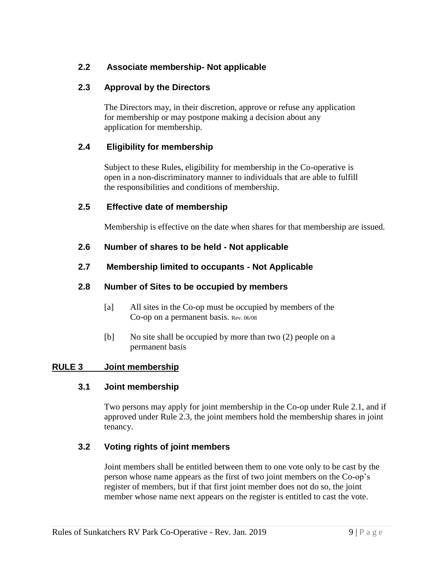## **2.2 Associate membership- Not applicable**

## **2.3 Approval by the Directors**

The Directors may, in their discretion, approve or refuse any application for membership or may postpone making a decision about any application for membership.

## **2.4 Eligibility for membership**

Subject to these Rules, eligibility for membership in the Co-operative is open in a non-discriminatory manner to individuals that are able to fulfill the responsibilities and conditions of membership.

#### **2.5 Effective date of membership**

Membership is effective on the date when shares for that membership are issued.

## **2.6 Number of shares to be held - Not applicable**

## **2.7 Membership limited to occupants - Not Applicable**

## **2.8 Number of Sites to be occupied by members**

- [a] All sites in the Co-op must be occupied by members of the Co-op on a permanent basis. Rev. 06/08
- [b] No site shall be occupied by more than two (2) people on a permanent basis

#### **RULE 3 Joint membership**

#### **3.1 Joint membership**

Two persons may apply for joint membership in the Co-op under Rule 2.1, and if approved under Rule 2.3, the joint members hold the membership shares in joint tenancy.

#### **3.2 Voting rights of joint members**

Joint members shall be entitled between them to one vote only to be cast by the person whose name appears as the first of two joint members on the Co-op's register of members, but if that first joint member does not do so, the joint member whose name next appears on the register is entitled to cast the vote.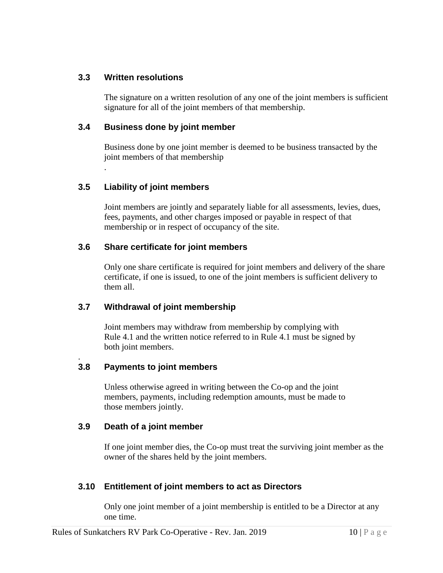## **3.3 Written resolutions**

The signature on a written resolution of any one of the joint members is sufficient signature for all of the joint members of that membership.

## **3.4 Business done by joint member**

Business done by one joint member is deemed to be business transacted by the joint members of that membership

## **3.5 Liability of joint members**

.

.

Joint members are jointly and separately liable for all assessments, levies, dues, fees, payments, and other charges imposed or payable in respect of that membership or in respect of occupancy of the site.

## **3.6 Share certificate for joint members**

Only one share certificate is required for joint members and delivery of the share certificate, if one is issued, to one of the joint members is sufficient delivery to them all.

## **3.7 Withdrawal of joint membership**

Joint members may withdraw from membership by complying with Rule 4.1 and the written notice referred to in Rule 4.1 must be signed by both joint members.

## **3.8 Payments to joint members**

Unless otherwise agreed in writing between the Co-op and the joint members, payments, including redemption amounts, must be made to those members jointly.

#### **3.9 Death of a joint member**

If one joint member dies, the Co-op must treat the surviving joint member as the owner of the shares held by the joint members.

## **3.10 Entitlement of joint members to act as Directors**

Only one joint member of a joint membership is entitled to be a Director at any one time.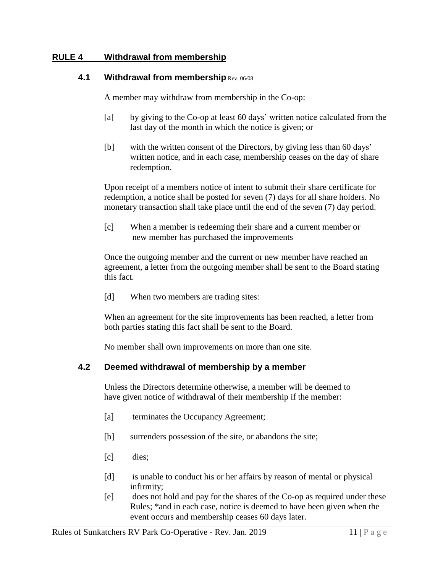## **RULE 4 Withdrawal from membership**

#### **4.1 Withdrawal from membership Rev. 06/08**

A member may withdraw from membership in the Co-op:

- [a] by giving to the Co-op at least 60 days' written notice calculated from the last day of the month in which the notice is given; or
- [b] with the written consent of the Directors, by giving less than 60 days' written notice, and in each case, membership ceases on the day of share redemption.

Upon receipt of a members notice of intent to submit their share certificate for redemption, a notice shall be posted for seven (7) days for all share holders. No monetary transaction shall take place until the end of the seven (7) day period.

[c] When a member is redeeming their share and a current member or new member has purchased the improvements

Once the outgoing member and the current or new member have reached an agreement, a letter from the outgoing member shall be sent to the Board stating this fact.

[d] When two members are trading sites:

When an agreement for the site improvements has been reached, a letter from both parties stating this fact shall be sent to the Board.

No member shall own improvements on more than one site.

#### **4.2 Deemed withdrawal of membership by a member**

Unless the Directors determine otherwise, a member will be deemed to have given notice of withdrawal of their membership if the member:

- [a] terminates the Occupancy Agreement;
- [b] surrenders possession of the site, or abandons the site;
- [c] dies;
- [d] is unable to conduct his or her affairs by reason of mental or physical infirmity;
- [e] does not hold and pay for the shares of the Co-op as required under these Rules; \*and in each case, notice is deemed to have been given when the event occurs and membership ceases 60 days later.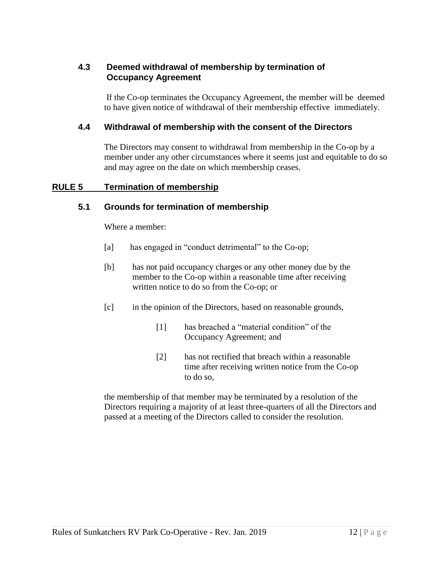## **4.3 Deemed withdrawal of membership by termination of Occupancy Agreement**

If the Co-op terminates the Occupancy Agreement, the member will be deemed to have given notice of withdrawal of their membership effective immediately.

## **4.4 Withdrawal of membership with the consent of the Directors**

The Directors may consent to withdrawal from membership in the Co-op by a member under any other circumstances where it seems just and equitable to do so and may agree on the date on which membership ceases.

#### **RULE 5 Termination of membership**

## **5.1 Grounds for termination of membership**

Where a member:

- [a] has engaged in "conduct detrimental" to the Co-op;
- [b] has not paid occupancy charges or any other money due by the member to the Co-op within a reasonable time after receiving written notice to do so from the Co-op; or
- [c] in the opinion of the Directors, based on reasonable grounds,
	- [1] has breached a "material condition" of the Occupancy Agreement; and
	- [2] has not rectified that breach within a reasonable time after receiving written notice from the Co-op to do so,

the membership of that member may be terminated by a resolution of the Directors requiring a majority of at least three-quarters of all the Directors and passed at a meeting of the Directors called to consider the resolution.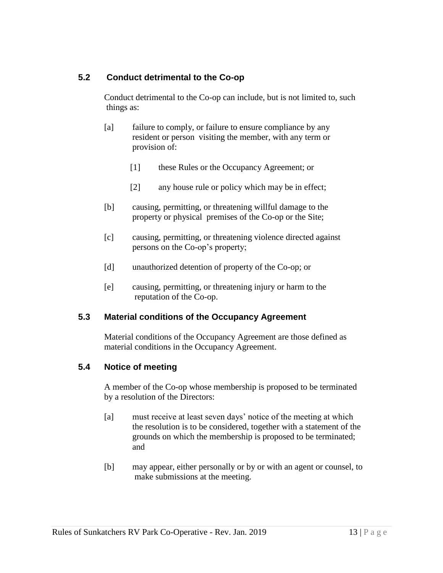## **5.2 Conduct detrimental to the Co-op**

Conduct detrimental to the Co-op can include, but is not limited to, such things as:

- [a] failure to comply, or failure to ensure compliance by any resident or person visiting the member, with any term or provision of:
	- [1] these Rules or the Occupancy Agreement; or
	- [2] any house rule or policy which may be in effect;
- [b] causing, permitting, or threatening willful damage to the property or physical premises of the Co-op or the Site;
- [c] causing, permitting, or threatening violence directed against persons on the Co-op's property;
- [d] unauthorized detention of property of the Co-op; or
- [e] causing, permitting, or threatening injury or harm to the reputation of the Co-op.

## **5.3 Material conditions of the Occupancy Agreement**

Material conditions of the Occupancy Agreement are those defined as material conditions in the Occupancy Agreement.

## **5.4 Notice of meeting**

A member of the Co-op whose membership is proposed to be terminated by a resolution of the Directors:

- [a] must receive at least seven days' notice of the meeting at which the resolution is to be considered, together with a statement of the grounds on which the membership is proposed to be terminated; and
- [b] may appear, either personally or by or with an agent or counsel, to make submissions at the meeting.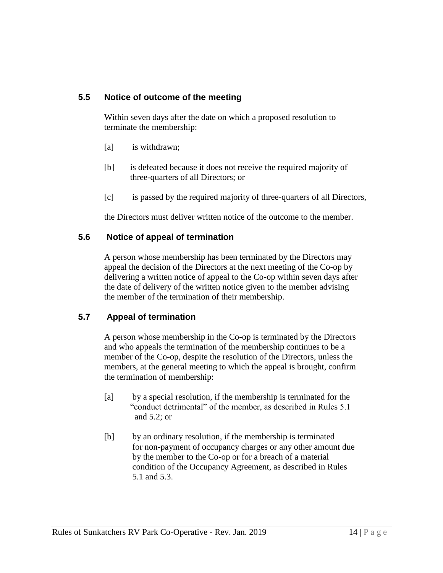## **5.5 Notice of outcome of the meeting**

Within seven days after the date on which a proposed resolution to terminate the membership:

- [a] is withdrawn;
- [b] is defeated because it does not receive the required majority of three-quarters of all Directors; or
- [c] is passed by the required majority of three-quarters of all Directors,

the Directors must deliver written notice of the outcome to the member.

## **5.6 Notice of appeal of termination**

A person whose membership has been terminated by the Directors may appeal the decision of the Directors at the next meeting of the Co-op by delivering a written notice of appeal to the Co-op within seven days after the date of delivery of the written notice given to the member advising the member of the termination of their membership.

## **5.7 Appeal of termination**

A person whose membership in the Co-op is terminated by the Directors and who appeals the termination of the membership continues to be a member of the Co-op, despite the resolution of the Directors, unless the members, at the general meeting to which the appeal is brought, confirm the termination of membership:

- [a] by a special resolution, if the membership is terminated for the "conduct detrimental" of the member, as described in Rules 5.1 and 5.2; or
- [b] by an ordinary resolution, if the membership is terminated for non-payment of occupancy charges or any other amount due by the member to the Co-op or for a breach of a material condition of the Occupancy Agreement, as described in Rules 5.1 and 5.3.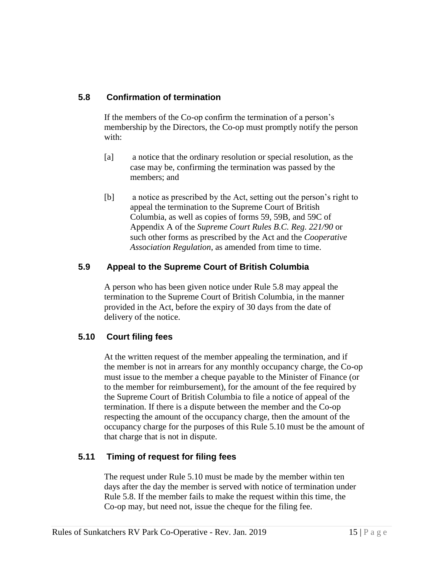## **5.8 Confirmation of termination**

If the members of the Co-op confirm the termination of a person's membership by the Directors, the Co-op must promptly notify the person with:

- [a] a notice that the ordinary resolution or special resolution, as the case may be, confirming the termination was passed by the members; and
- [b] a notice as prescribed by the Act, setting out the person's right to appeal the termination to the Supreme Court of British Columbia, as well as copies of forms 59, 59B, and 59C of Appendix A of the *Supreme Court Rules B.C. Reg. 221/90* or such other forms as prescribed by the Act and the *Cooperative Association Regulation*, as amended from time to time.

## **5.9 Appeal to the Supreme Court of British Columbia**

A person who has been given notice under Rule 5.8 may appeal the termination to the Supreme Court of British Columbia, in the manner provided in the Act, before the expiry of 30 days from the date of delivery of the notice.

## **5.10 Court filing fees**

At the written request of the member appealing the termination, and if the member is not in arrears for any monthly occupancy charge, the Co-op must issue to the member a cheque payable to the Minister of Finance (or to the member for reimbursement), for the amount of the fee required by the Supreme Court of British Columbia to file a notice of appeal of the termination. If there is a dispute between the member and the Co-op respecting the amount of the occupancy charge, then the amount of the occupancy charge for the purposes of this Rule 5.10 must be the amount of that charge that is not in dispute.

## **5.11 Timing of request for filing fees**

The request under Rule 5.10 must be made by the member within ten days after the day the member is served with notice of termination under Rule 5.8. If the member fails to make the request within this time, the Co-op may, but need not, issue the cheque for the filing fee.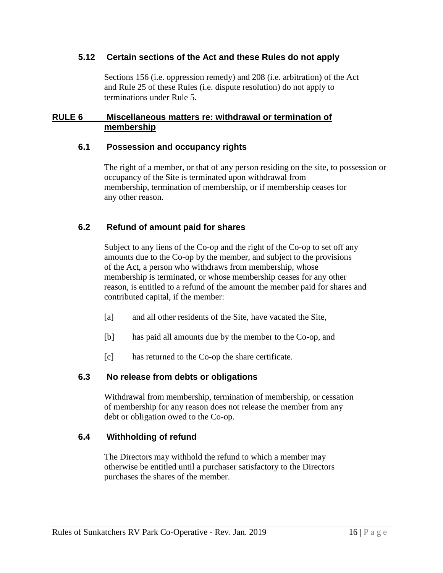#### **5.12 Certain sections of the Act and these Rules do not apply**

Sections 156 (i.e. oppression remedy) and 208 (i.e. arbitration) of the Act and Rule 25 of these Rules (i.e. dispute resolution) do not apply to terminations under Rule 5.

## **RULE 6 Miscellaneous matters re: withdrawal or termination of membership**

## **6.1 Possession and occupancy rights**

The right of a member, or that of any person residing on the site, to possession or occupancy of the Site is terminated upon withdrawal from membership, termination of membership, or if membership ceases for any other reason.

## **6.2 Refund of amount paid for shares**

Subject to any liens of the Co-op and the right of the Co-op to set off any amounts due to the Co-op by the member, and subject to the provisions of the Act, a person who withdraws from membership, whose membership is terminated, or whose membership ceases for any other reason, is entitled to a refund of the amount the member paid for shares and contributed capital, if the member:

- [a] and all other residents of the Site, have vacated the Site,
- [b] has paid all amounts due by the member to the Co-op, and
- [c] has returned to the Co-op the share certificate.

## **6.3 No release from debts or obligations**

Withdrawal from membership, termination of membership, or cessation of membership for any reason does not release the member from any debt or obligation owed to the Co-op.

#### **6.4 Withholding of refund**

The Directors may withhold the refund to which a member may otherwise be entitled until a purchaser satisfactory to the Directors purchases the shares of the member.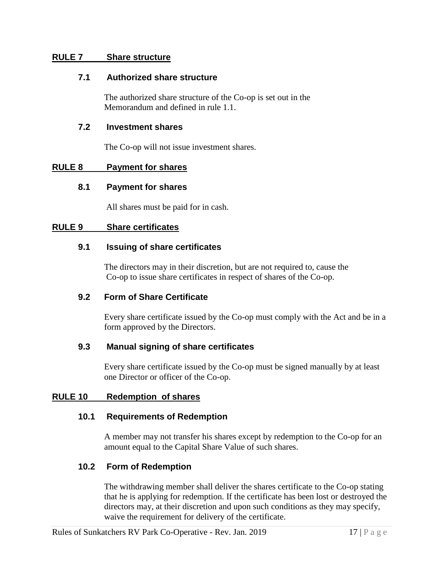#### **RULE 7 Share structure**

#### **7.1 Authorized share structure**

The authorized share structure of the Co-op is set out in the Memorandum and defined in rule 1.1.

#### **7.2 Investment shares**

The Co-op will not issue investment shares.

#### **RULE 8 Payment for shares**

#### **8.1 Payment for shares**

All shares must be paid for in cash.

#### **RULE 9 Share certificates**

#### **9.1 Issuing of share certificates**

The directors may in their discretion, but are not required to, cause the Co-op to issue share certificates in respect of shares of the Co-op.

#### **9.2 Form of Share Certificate**

Every share certificate issued by the Co-op must comply with the Act and be in a form approved by the Directors.

#### **9.3 Manual signing of share certificates**

Every share certificate issued by the Co-op must be signed manually by at least one Director or officer of the Co-op.

#### **RULE 10 Redemption of shares**

#### **10.1 Requirements of Redemption**

A member may not transfer his shares except by redemption to the Co-op for an amount equal to the Capital Share Value of such shares.

#### **10.2 Form of Redemption**

The withdrawing member shall deliver the shares certificate to the Co-op stating that he is applying for redemption. If the certificate has been lost or destroyed the directors may, at their discretion and upon such conditions as they may specify, waive the requirement for delivery of the certificate.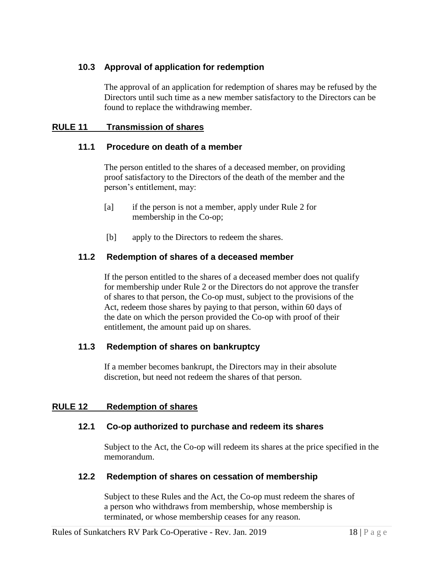## **10.3 Approval of application for redemption**

The approval of an application for redemption of shares may be refused by the Directors until such time as a new member satisfactory to the Directors can be found to replace the withdrawing member.

## **RULE 11 Transmission of shares**

## **11.1 Procedure on death of a member**

The person entitled to the shares of a deceased member, on providing proof satisfactory to the Directors of the death of the member and the person's entitlement, may:

- [a] if the person is not a member, apply under Rule 2 for membership in the Co-op;
- [b] apply to the Directors to redeem the shares.

## **11.2 Redemption of shares of a deceased member**

If the person entitled to the shares of a deceased member does not qualify for membership under Rule 2 or the Directors do not approve the transfer of shares to that person, the Co-op must, subject to the provisions of the Act, redeem those shares by paying to that person, within 60 days of the date on which the person provided the Co-op with proof of their entitlement, the amount paid up on shares.

#### **11.3 Redemption of shares on bankruptcy**

If a member becomes bankrupt, the Directors may in their absolute discretion, but need not redeem the shares of that person.

#### **RULE 12 Redemption of shares**

#### **12.1 Co-op authorized to purchase and redeem its shares**

Subject to the Act, the Co-op will redeem its shares at the price specified in the memorandum.

#### **12.2 Redemption of shares on cessation of membership**

Subject to these Rules and the Act, the Co-op must redeem the shares of a person who withdraws from membership, whose membership is terminated, or whose membership ceases for any reason.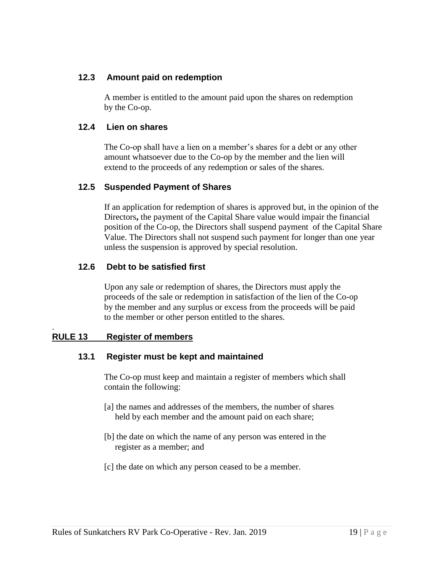## **12.3 Amount paid on redemption**

A member is entitled to the amount paid upon the shares on redemption by the Co-op.

## **12.4 Lien on shares**

The Co-op shall have a lien on a member's shares for a debt or any other amount whatsoever due to the Co-op by the member and the lien will extend to the proceeds of any redemption or sales of the shares.

## **12.5 Suspended Payment of Shares**

If an application for redemption of shares is approved but, in the opinion of the Directors**,** the payment of the Capital Share value would impair the financial position of the Co-op, the Directors shall suspend payment of the Capital Share Value. The Directors shall not suspend such payment for longer than one year unless the suspension is approved by special resolution.

## **12.6 Debt to be satisfied first**

Upon any sale or redemption of shares, the Directors must apply the proceeds of the sale or redemption in satisfaction of the lien of the Co-op by the member and any surplus or excess from the proceeds will be paid to the member or other person entitled to the shares.

#### **RULE 13 Register of members**

.

#### **13.1 Register must be kept and maintained**

The Co-op must keep and maintain a register of members which shall contain the following:

- [a] the names and addresses of the members, the number of shares held by each member and the amount paid on each share;
- [b] the date on which the name of any person was entered in the register as a member; and
- [c] the date on which any person ceased to be a member.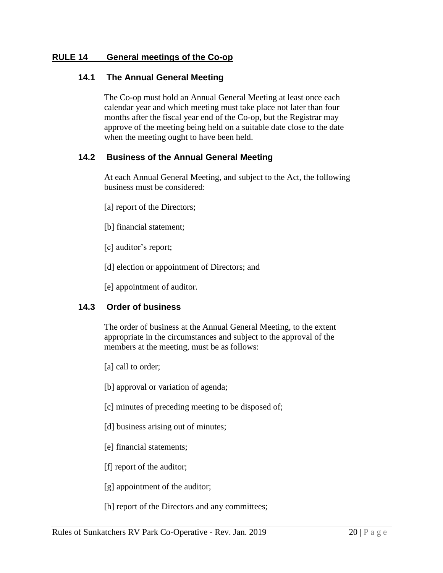## **RULE 14 General meetings of the Co-op**

#### **14.1 The Annual General Meeting**

The Co-op must hold an Annual General Meeting at least once each calendar year and which meeting must take place not later than four months after the fiscal year end of the Co-op, but the Registrar may approve of the meeting being held on a suitable date close to the date when the meeting ought to have been held.

## **14.2 Business of the Annual General Meeting**

At each Annual General Meeting, and subject to the Act, the following business must be considered:

- [a] report of the Directors;
- [b] financial statement;
- [c] auditor's report;
- [d] election or appointment of Directors; and

[e] appointment of auditor.

#### **14.3 Order of business**

The order of business at the Annual General Meeting, to the extent appropriate in the circumstances and subject to the approval of the members at the meeting, must be as follows:

- [a] call to order;
- [b] approval or variation of agenda;
- [c] minutes of preceding meeting to be disposed of;
- [d] business arising out of minutes;
- [e] financial statements;
- [f] report of the auditor;
- [g] appointment of the auditor;
- [h] report of the Directors and any committees;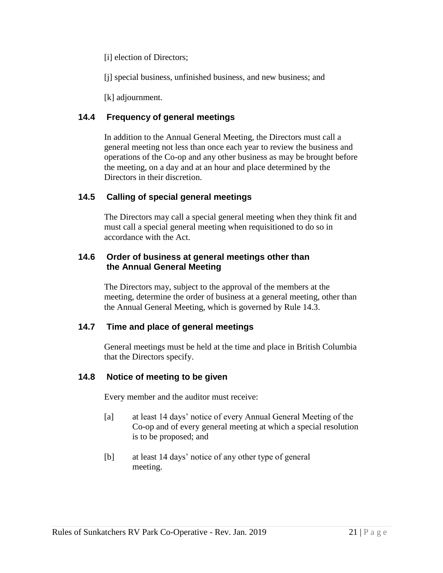[i] election of Directors;

[j] special business, unfinished business, and new business; and

[k] adjournment.

## **14.4 Frequency of general meetings**

In addition to the Annual General Meeting, the Directors must call a general meeting not less than once each year to review the business and operations of the Co-op and any other business as may be brought before the meeting, on a day and at an hour and place determined by the Directors in their discretion.

## **14.5 Calling of special general meetings**

The Directors may call a special general meeting when they think fit and must call a special general meeting when requisitioned to do so in accordance with the Act.

## **14.6 Order of business at general meetings other than the Annual General Meeting**

The Directors may, subject to the approval of the members at the meeting, determine the order of business at a general meeting, other than the Annual General Meeting, which is governed by Rule 14.3.

## **14.7 Time and place of general meetings**

General meetings must be held at the time and place in British Columbia that the Directors specify.

## **14.8 Notice of meeting to be given**

Every member and the auditor must receive:

- [a] at least 14 days' notice of every Annual General Meeting of the Co-op and of every general meeting at which a special resolution is to be proposed; and
- [b] at least 14 days' notice of any other type of general meeting.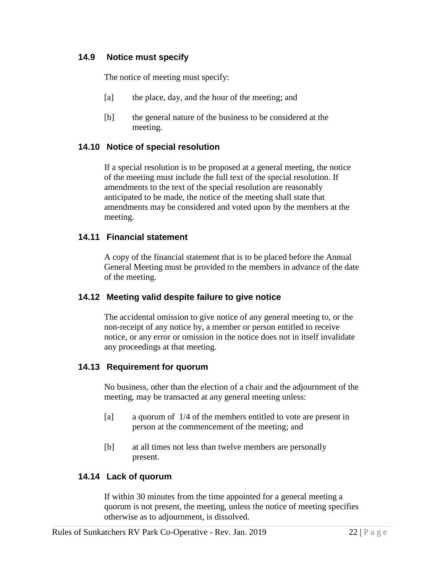## **14.9 Notice must specify**

The notice of meeting must specify:

- [a] the place, day, and the hour of the meeting; and
- [b] the general nature of the business to be considered at the meeting.

#### **14.10 Notice of special resolution**

If a special resolution is to be proposed at a general meeting, the notice of the meeting must include the full text of the special resolution. If amendments to the text of the special resolution are reasonably anticipated to be made, the notice of the meeting shall state that amendments may be considered and voted upon by the members at the meeting.

#### **14.11 Financial statement**

A copy of the financial statement that is to be placed before the Annual General Meeting must be provided to the members in advance of the date of the meeting.

#### **14.12 Meeting valid despite failure to give notice**

The accidental omission to give notice of any general meeting to, or the non-receipt of any notice by, a member or person entitled to receive notice, or any error or omission in the notice does not in itself invalidate any proceedings at that meeting.

#### **14.13 Requirement for quorum**

No business, other than the election of a chair and the adjournment of the meeting, may be transacted at any general meeting unless:

- [a] a quorum of 1/4 of the members entitled to vote are present in person at the commencement of the meeting; and
- [b] at all times not less than twelve members are personally present.

#### **14.14 Lack of quorum**

If within 30 minutes from the time appointed for a general meeting a quorum is not present, the meeting, unless the notice of meeting specifies otherwise as to adjournment, is dissolved.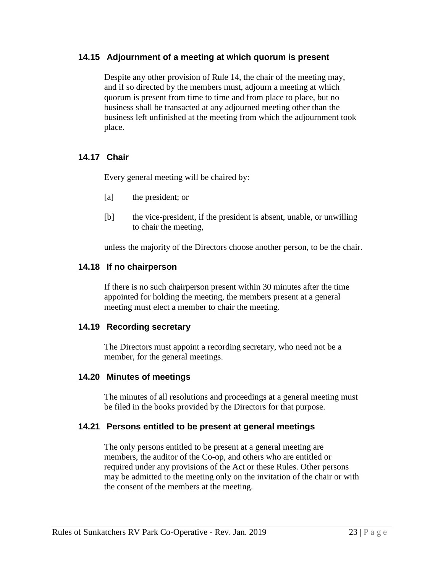#### **14.15 Adjournment of a meeting at which quorum is present**

Despite any other provision of Rule 14, the chair of the meeting may, and if so directed by the members must, adjourn a meeting at which quorum is present from time to time and from place to place, but no business shall be transacted at any adjourned meeting other than the business left unfinished at the meeting from which the adjournment took place.

#### **14.17 Chair**

Every general meeting will be chaired by:

- [a] the president; or
- [b] the vice-president, if the president is absent, unable, or unwilling to chair the meeting,

unless the majority of the Directors choose another person, to be the chair.

#### **14.18 If no chairperson**

If there is no such chairperson present within 30 minutes after the time appointed for holding the meeting, the members present at a general meeting must elect a member to chair the meeting.

#### **14.19 Recording secretary**

The Directors must appoint a recording secretary, who need not be a member, for the general meetings.

#### **14.20 Minutes of meetings**

The minutes of all resolutions and proceedings at a general meeting must be filed in the books provided by the Directors for that purpose.

#### **14.21 Persons entitled to be present at general meetings**

The only persons entitled to be present at a general meeting are members, the auditor of the Co-op, and others who are entitled or required under any provisions of the Act or these Rules. Other persons may be admitted to the meeting only on the invitation of the chair or with the consent of the members at the meeting.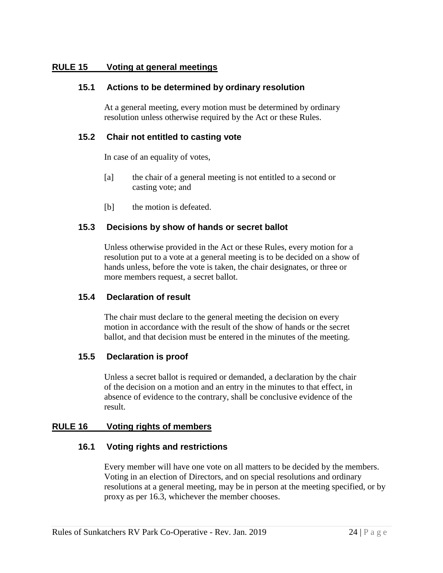## **RULE 15 Voting at general meetings**

#### **15.1 Actions to be determined by ordinary resolution**

At a general meeting, every motion must be determined by ordinary resolution unless otherwise required by the Act or these Rules.

#### **15.2 Chair not entitled to casting vote**

In case of an equality of votes,

- [a] the chair of a general meeting is not entitled to a second or casting vote; and
- [b] the motion is defeated.

#### **15.3 Decisions by show of hands or secret ballot**

Unless otherwise provided in the Act or these Rules, every motion for a resolution put to a vote at a general meeting is to be decided on a show of hands unless, before the vote is taken, the chair designates, or three or more members request, a secret ballot.

#### **15.4 Declaration of result**

The chair must declare to the general meeting the decision on every motion in accordance with the result of the show of hands or the secret ballot, and that decision must be entered in the minutes of the meeting.

#### **15.5 Declaration is proof**

Unless a secret ballot is required or demanded, a declaration by the chair of the decision on a motion and an entry in the minutes to that effect, in absence of evidence to the contrary, shall be conclusive evidence of the result.

#### **RULE 16 Voting rights of members**

#### **16.1 Voting rights and restrictions**

Every member will have one vote on all matters to be decided by the members. Voting in an election of Directors, and on special resolutions and ordinary resolutions at a general meeting, may be in person at the meeting specified, or by proxy as per 16.3, whichever the member chooses.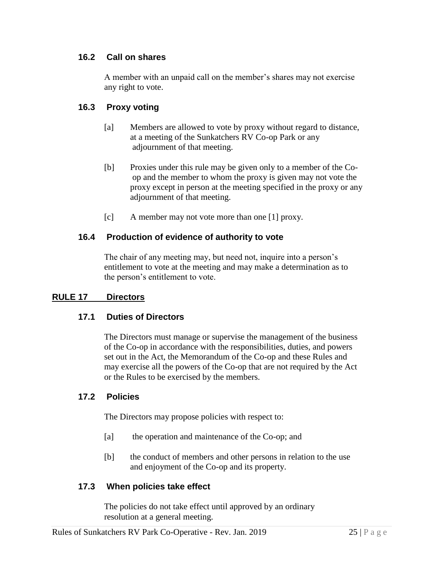## **16.2 Call on shares**

A member with an unpaid call on the member's shares may not exercise any right to vote.

## **16.3 Proxy voting**

- [a] Members are allowed to vote by proxy without regard to distance, at a meeting of the Sunkatchers RV Co-op Park or any adjournment of that meeting.
- [b] Proxies under this rule may be given only to a member of the Co op and the member to whom the proxy is given may not vote the proxy except in person at the meeting specified in the proxy or any adjournment of that meeting.
- [c] A member may not vote more than one [1] proxy.

#### **16.4 Production of evidence of authority to vote**

The chair of any meeting may, but need not, inquire into a person's entitlement to vote at the meeting and may make a determination as to the person's entitlement to vote.

#### **RULE 17 Directors**

#### **17.1 Duties of Directors**

The Directors must manage or supervise the management of the business of the Co-op in accordance with the responsibilities, duties, and powers set out in the Act, the Memorandum of the Co-op and these Rules and may exercise all the powers of the Co-op that are not required by the Act or the Rules to be exercised by the members.

#### **17.2 Policies**

The Directors may propose policies with respect to:

- [a] the operation and maintenance of the Co-op; and
- [b] the conduct of members and other persons in relation to the use and enjoyment of the Co-op and its property.

## **17.3 When policies take effect**

The policies do not take effect until approved by an ordinary resolution at a general meeting.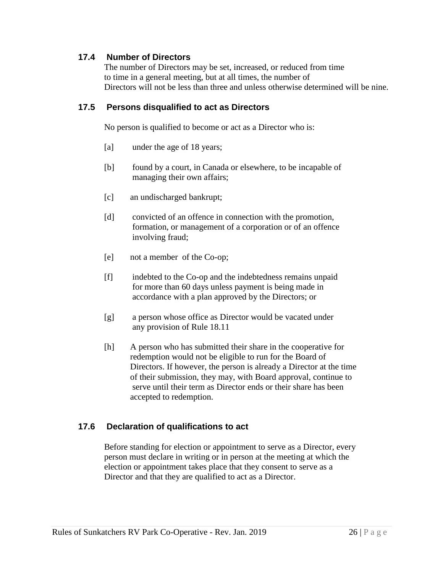## **17.4 Number of Directors**

The number of Directors may be set, increased, or reduced from time to time in a general meeting, but at all times, the number of Directors will not be less than three and unless otherwise determined will be nine.

## **17.5 Persons disqualified to act as Directors**

No person is qualified to become or act as a Director who is:

- [a] under the age of 18 years;
- [b] found by a court, in Canada or elsewhere, to be incapable of managing their own affairs;
- [c] an undischarged bankrupt;
- [d] convicted of an offence in connection with the promotion, formation, or management of a corporation or of an offence involving fraud;
- [e] not a member of the Co-op;
- [f] indebted to the Co-op and the indebtedness remains unpaid for more than 60 days unless payment is being made in accordance with a plan approved by the Directors; or
- [g] a person whose office as Director would be vacated under any provision of Rule 18.11
- [h] A person who has submitted their share in the cooperative for redemption would not be eligible to run for the Board of Directors. If however, the person is already a Director at the time of their submission, they may, with Board approval, continue to serve until their term as Director ends or their share has been accepted to redemption.

#### **17.6 Declaration of qualifications to act**

Before standing for election or appointment to serve as a Director, every person must declare in writing or in person at the meeting at which the election or appointment takes place that they consent to serve as a Director and that they are qualified to act as a Director.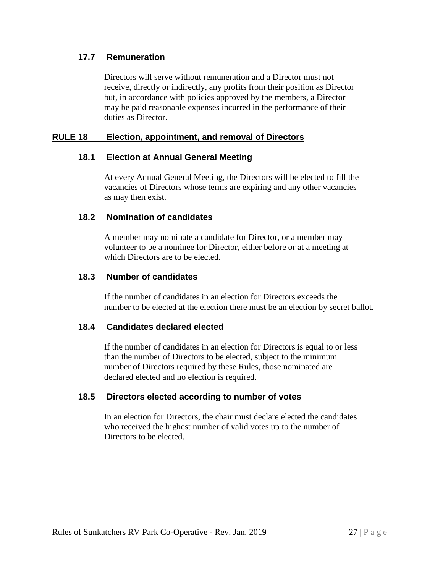## **17.7 Remuneration**

Directors will serve without remuneration and a Director must not receive, directly or indirectly, any profits from their position as Director but, in accordance with policies approved by the members, a Director may be paid reasonable expenses incurred in the performance of their duties as Director.

## **RULE 18 Election, appointment, and removal of Directors**

## **18.1 Election at Annual General Meeting**

At every Annual General Meeting, the Directors will be elected to fill the vacancies of Directors whose terms are expiring and any other vacancies as may then exist.

#### **18.2 Nomination of candidates**

A member may nominate a candidate for Director, or a member may volunteer to be a nominee for Director, either before or at a meeting at which Directors are to be elected.

## **18.3 Number of candidates**

If the number of candidates in an election for Directors exceeds the number to be elected at the election there must be an election by secret ballot.

## **18.4 Candidates declared elected**

If the number of candidates in an election for Directors is equal to or less than the number of Directors to be elected, subject to the minimum number of Directors required by these Rules, those nominated are declared elected and no election is required.

## **18.5 Directors elected according to number of votes**

In an election for Directors, the chair must declare elected the candidates who received the highest number of valid votes up to the number of Directors to be elected.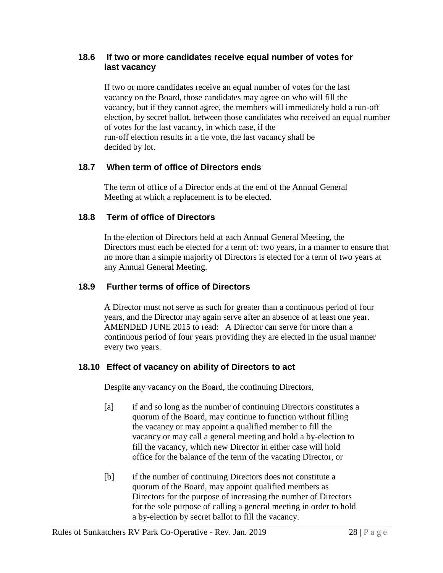## **18.6 If two or more candidates receive equal number of votes for last vacancy**

If two or more candidates receive an equal number of votes for the last vacancy on the Board, those candidates may agree on who will fill the vacancy, but if they cannot agree, the members will immediately hold a run-off election, by secret ballot, between those candidates who received an equal number of votes for the last vacancy, in which case, if the run-off election results in a tie vote, the last vacancy shall be decided by lot.

## **18.7 When term of office of Directors ends**

The term of office of a Director ends at the end of the Annual General Meeting at which a replacement is to be elected.

## **18.8 Term of office of Directors**

In the election of Directors held at each Annual General Meeting, the Directors must each be elected for a term of: two years, in a manner to ensure that no more than a simple majority of Directors is elected for a term of two years at any Annual General Meeting.

## **18.9 Further terms of office of Directors**

A Director must not serve as such for greater than a continuous period of four years, and the Director may again serve after an absence of at least one year. AMENDED JUNE 2015 to read: A Director can serve for more than a continuous period of four years providing they are elected in the usual manner every two years.

#### **18.10 Effect of vacancy on ability of Directors to act**

Despite any vacancy on the Board, the continuing Directors,

- [a] if and so long as the number of continuing Directors constitutes a quorum of the Board, may continue to function without filling the vacancy or may appoint a qualified member to fill the vacancy or may call a general meeting and hold a by-election to fill the vacancy, which new Director in either case will hold office for the balance of the term of the vacating Director, or
- [b] if the number of continuing Directors does not constitute a quorum of the Board, may appoint qualified members as Directors for the purpose of increasing the number of Directors for the sole purpose of calling a general meeting in order to hold a by-election by secret ballot to fill the vacancy.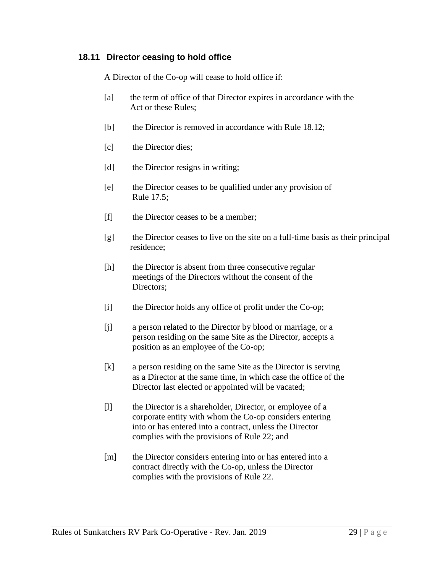## **18.11 Director ceasing to hold office**

A Director of the Co-op will cease to hold office if:

- [a] the term of office of that Director expires in accordance with the Act or these Rules;
- [b] the Director is removed in accordance with Rule 18.12;
- [c] the Director dies;
- [d] the Director resigns in writing;
- [e] the Director ceases to be qualified under any provision of Rule 17.5;
- [f] the Director ceases to be a member;
- [g] the Director ceases to live on the site on a full-time basis as their principal residence;
- [h] the Director is absent from three consecutive regular meetings of the Directors without the consent of the Directors;
- [i] the Director holds any office of profit under the Co-op;
- [j] a person related to the Director by blood or marriage, or a person residing on the same Site as the Director, accepts a position as an employee of the Co-op;
- [k] a person residing on the same Site as the Director is serving as a Director at the same time, in which case the office of the Director last elected or appointed will be vacated;
- [l] the Director is a shareholder, Director, or employee of a corporate entity with whom the Co-op considers entering into or has entered into a contract, unless the Director complies with the provisions of Rule 22; and
- [m] the Director considers entering into or has entered into a contract directly with the Co-op, unless the Director complies with the provisions of Rule 22.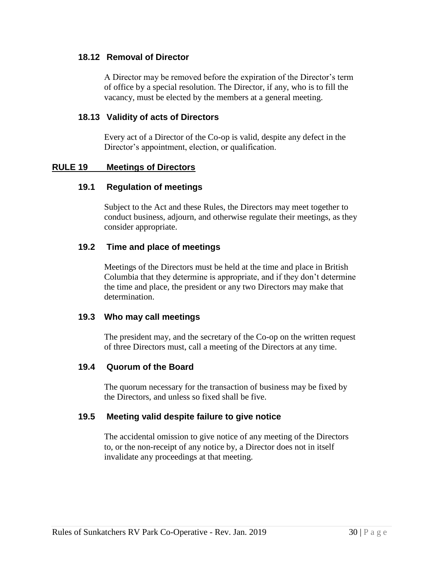#### **18.12 Removal of Director**

A Director may be removed before the expiration of the Director's term of office by a special resolution. The Director, if any, who is to fill the vacancy, must be elected by the members at a general meeting.

#### **18.13 Validity of acts of Directors**

Every act of a Director of the Co-op is valid, despite any defect in the Director's appointment, election, or qualification.

#### **RULE 19 Meetings of Directors**

#### **19.1 Regulation of meetings**

Subject to the Act and these Rules, the Directors may meet together to conduct business, adjourn, and otherwise regulate their meetings, as they consider appropriate.

#### **19.2 Time and place of meetings**

Meetings of the Directors must be held at the time and place in British Columbia that they determine is appropriate, and if they don't determine the time and place, the president or any two Directors may make that determination.

#### **19.3 Who may call meetings**

The president may, and the secretary of the Co-op on the written request of three Directors must, call a meeting of the Directors at any time.

#### **19.4 Quorum of the Board**

The quorum necessary for the transaction of business may be fixed by the Directors, and unless so fixed shall be five.

#### **19.5 Meeting valid despite failure to give notice**

The accidental omission to give notice of any meeting of the Directors to, or the non-receipt of any notice by, a Director does not in itself invalidate any proceedings at that meeting.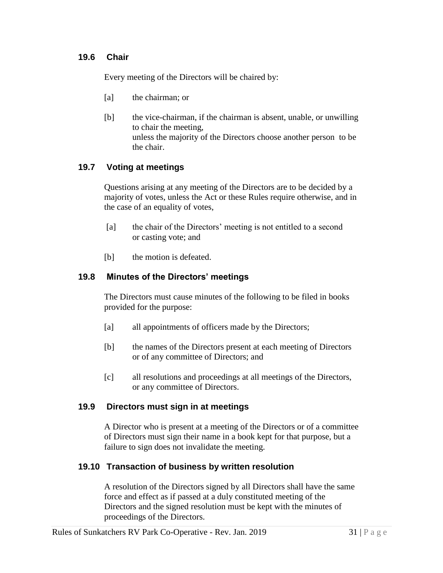## **19.6 Chair**

Every meeting of the Directors will be chaired by:

- [a] the chairman; or
- [b] the vice-chairman, if the chairman is absent, unable, or unwilling to chair the meeting, unless the majority of the Directors choose another personto be the chair.

## **19.7 Voting at meetings**

Questions arising at any meeting of the Directors are to be decided by a majority of votes, unless the Act or these Rules require otherwise, and in the case of an equality of votes,

- [a] the chair of the Directors' meeting is not entitled to a second or casting vote; and
- [b] the motion is defeated.

## **19.8 Minutes of the Directors' meetings**

The Directors must cause minutes of the following to be filed in books provided for the purpose:

- [a] all appointments of officers made by the Directors;
- [b] the names of the Directors present at each meeting of Directors or of any committee of Directors; and
- [c] all resolutions and proceedings at all meetings of the Directors, or any committee of Directors.

#### **19.9 Directors must sign in at meetings**

A Director who is present at a meeting of the Directors or of a committee of Directors must sign their name in a book kept for that purpose, but a failure to sign does not invalidate the meeting.

#### **19.10 Transaction of business by written resolution**

A resolution of the Directors signed by all Directors shall have the same force and effect as if passed at a duly constituted meeting of the Directors and the signed resolution must be kept with the minutes of proceedings of the Directors.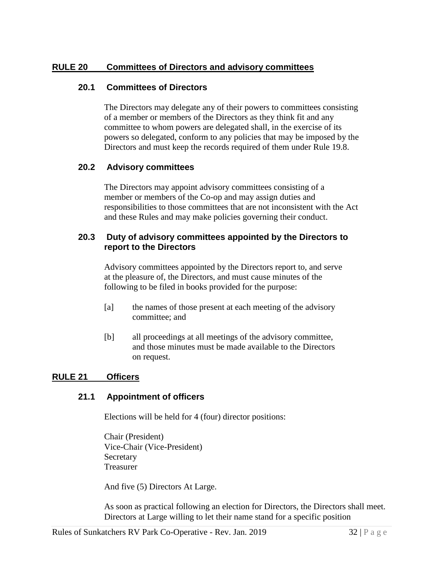## **RULE 20 Committees of Directors and advisory committees**

#### **20.1 Committees of Directors**

The Directors may delegate any of their powers to committees consisting of a member or members of the Directors as they think fit and any committee to whom powers are delegated shall, in the exercise of its powers so delegated, conform to any policies that may be imposed by the Directors and must keep the records required of them under Rule 19.8.

## **20.2 Advisory committees**

The Directors may appoint advisory committees consisting of a member or members of the Co-op and may assign duties and responsibilities to those committees that are not inconsistent with the Act and these Rules and may make policies governing their conduct.

## **20.3 Duty of advisory committees appointed by the Directors to report to the Directors**

Advisory committees appointed by the Directors report to, and serve at the pleasure of, the Directors, and must cause minutes of the following to be filed in books provided for the purpose:

- [a] the names of those present at each meeting of the advisory committee; and
- [b] all proceedings at all meetings of the advisory committee, and those minutes must be made available to the Directors on request.

#### **RULE 21 Officers**

#### **21.1 Appointment of officers**

Elections will be held for 4 (four) director positions:

Chair (President) Vice-Chair (Vice-President) Secretary Treasurer

And five (5) Directors At Large.

As soon as practical following an election for Directors, the Directors shall meet. Directors at Large willing to let their name stand for a specific position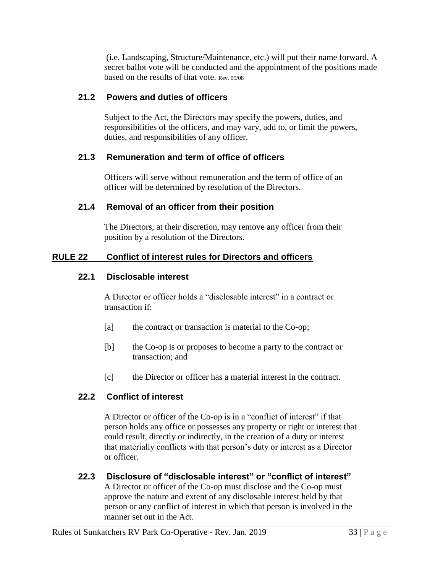(i.e. Landscaping, Structure/Maintenance, etc.) will put their name forward. A secret ballot vote will be conducted and the appointment of the positions made based on the results of that vote. Rev. 09/08

## **21.2 Powers and duties of officers**

Subject to the Act, the Directors may specify the powers, duties, and responsibilities of the officers, and may vary, add to, or limit the powers, duties, and responsibilities of any officer.

## **21.3 Remuneration and term of office of officers**

Officers will serve without remuneration and the term of office of an officer will be determined by resolution of the Directors.

## **21.4 Removal of an officer from their position**

The Directors, at their discretion, may remove any officer from their position by a resolution of the Directors.

## **RULE 22 Conflict of interest rules for Directors and officers**

#### **22.1 Disclosable interest**

A Director or officer holds a "disclosable interest" in a contract or transaction if:

- [a] the contract or transaction is material to the Co-op;
- [b] the Co-op is or proposes to become a party to the contract or transaction; and
- [c] the Director or officer has a material interest in the contract.

## **22.2 Conflict of interest**

A Director or officer of the Co-op is in a "conflict of interest" if that person holds any office or possesses any property or right or interest that could result, directly or indirectly, in the creation of a duty or interest that materially conflicts with that person's duty or interest as a Director or officer.

**22.3 Disclosure of "disclosable interest" or "conflict of interest"** A Director or officer of the Co-op must disclose and the Co-op must approve the nature and extent of any disclosable interest held by that person or any conflict of interest in which that person is involved in the manner set out in the Act.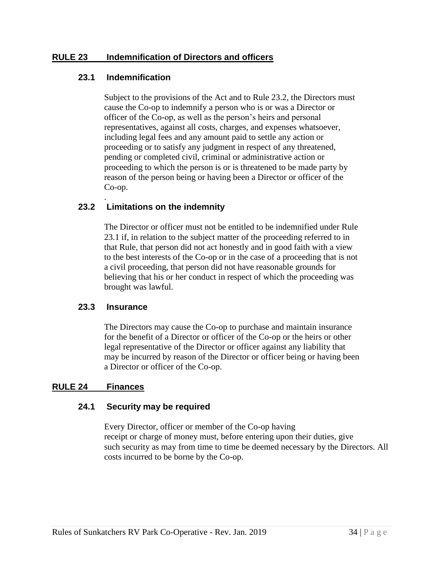## **RULE 23 Indemnification of Directors and officers**

## **23.1 Indemnification**

Subject to the provisions of the Act and to Rule 23.2, the Directors must cause the Co-op to indemnify a person who is or was a Director or officer of the Co-op, as well as the person's heirs and personal representatives, against all costs, charges, and expenses whatsoever, including legal fees and any amount paid to settle any action or proceeding or to satisfy any judgment in respect of any threatened, pending or completed civil, criminal or administrative action or proceeding to which the person is or is threatened to be made party by reason of the person being or having been a Director or officer of the Co-op.

#### . **23.2 Limitations on the indemnity**

The Director or officer must not be entitled to be indemnified under Rule 23.1 if, in relation to the subject matter of the proceeding referred to in that Rule, that person did not act honestly and in good faith with a view to the best interests of the Co-op or in the case of a proceeding that is not a civil proceeding, that person did not have reasonable grounds for believing that his or her conduct in respect of which the proceeding was brought was lawful.

#### **23.3 Insurance**

The Directors may cause the Co-op to purchase and maintain insurance for the benefit of a Director or officer of the Co-op or the heirs or other legal representative of the Director or officer against any liability that may be incurred by reason of the Director or officer being or having been a Director or officer of the Co-op.

#### **RULE 24 Finances**

#### **24.1 Security may be required**

Every Director, officer or member of the Co-op having receipt or charge of money must, before entering upon their duties, give such security as may from time to time be deemed necessary by the Directors. All costs incurred to be borne by the Co-op.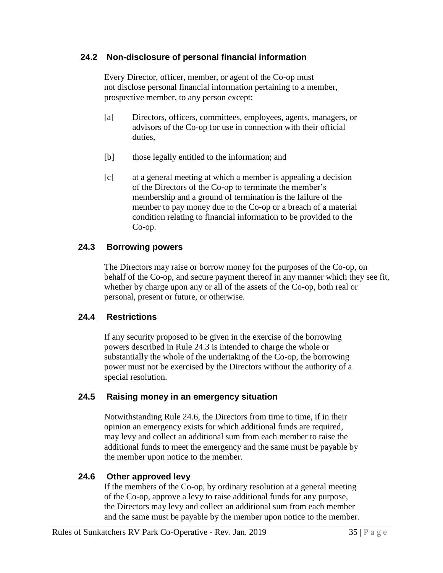## **24.2 Non-disclosure of personal financial information**

Every Director, officer, member, or agent of the Co-op must not disclose personal financial information pertaining to a member, prospective member, to any person except:

- [a] Directors, officers, committees, employees, agents, managers, or advisors of the Co-op for use in connection with their official duties,
- [b] those legally entitled to the information; and
- [c] at a general meeting at which a member is appealing a decision of the Directors of the Co-op to terminate the member's membership and a ground of termination is the failure of the member to pay money due to the Co-op or a breach of a material condition relating to financial information to be provided to the Co-op.

## **24.3 Borrowing powers**

The Directors may raise or borrow money for the purposes of the Co-op, on behalf of the Co-op, and secure payment thereof in any manner which they see fit, whether by charge upon any or all of the assets of the Co-op, both real or personal, present or future, or otherwise.

## **24.4 Restrictions**

If any security proposed to be given in the exercise of the borrowing powers described in Rule 24.3 is intended to charge the whole or substantially the whole of the undertaking of the Co-op, the borrowing power must not be exercised by the Directors without the authority of a special resolution.

## **24.5 Raising money in an emergency situation**

Notwithstanding Rule 24.6, the Directors from time to time, if in their opinion an emergency exists for which additional funds are required, may levy and collect an additional sum from each member to raise the additional funds to meet the emergency and the same must be payable by the member upon notice to the member.

## **24.6 Other approved levy**

If the members of the Co-op, by ordinary resolution at a general meeting of the Co-op, approve a levy to raise additional funds for any purpose, the Directors may levy and collect an additional sum from each member and the same must be payable by the member upon notice to the member.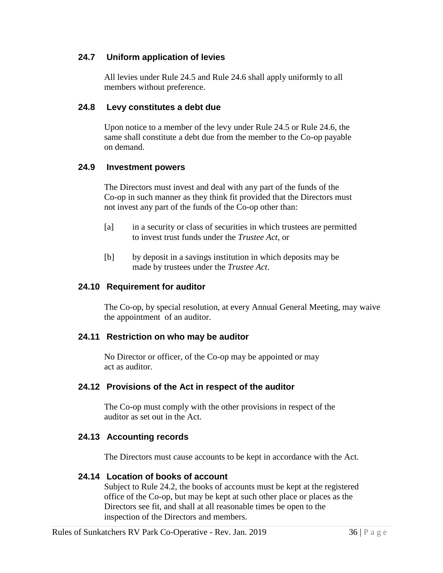## **24.7 Uniform application of levies**

All levies under Rule 24.5 and Rule 24.6 shall apply uniformly to all members without preference.

## **24.8 Levy constitutes a debt due**

Upon notice to a member of the levy under Rule 24.5 or Rule 24.6, the same shall constitute a debt due from the member to the Co-op payable on demand.

#### **24.9 Investment powers**

The Directors must invest and deal with any part of the funds of the Co-op in such manner as they think fit provided that the Directors must not invest any part of the funds of the Co-op other than:

- [a] in a security or class of securities in which trustees are permitted to invest trust funds under the *Trustee Act*, or
- [b] by deposit in a savings institution in which deposits may be made by trustees under the *Trustee Act*.

## **24.10 Requirement for auditor**

The Co-op, by special resolution, at every Annual General Meeting, may waive the appointment of an auditor.

#### **24.11 Restriction on who may be auditor**

No Director or officer, of the Co-op may be appointed or may act as auditor.

#### **24.12 Provisions of the Act in respect of the auditor**

The Co-op must comply with the other provisions in respect of the auditor as set out in the Act.

## **24.13 Accounting records**

The Directors must cause accounts to be kept in accordance with the Act.

#### **24.14 Location of books of account**

Subject to Rule 24.2, the books of accounts must be kept at the registered office of the Co-op, but may be kept at such other place or places as the Directors see fit, and shall at all reasonable times be open to the inspection of the Directors and members.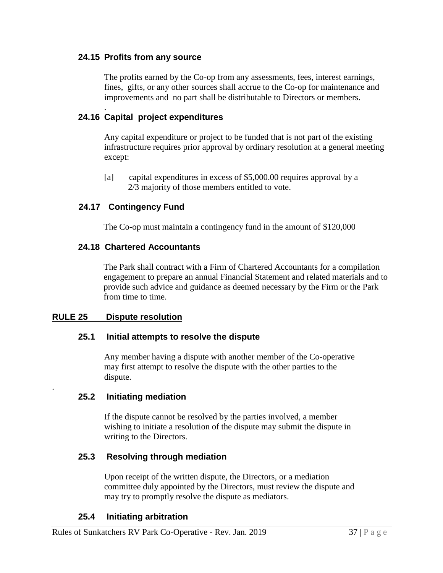#### **24.15 Profits from any source**

The profits earned by the Co-op from any assessments, fees, interest earnings, fines, gifts, or any other sources shall accrue to the Co-op for maintenance and improvements and no part shall be distributable to Directors or members.

#### . **24.16 Capital project expenditures**

Any capital expenditure or project to be funded that is not part of the existing infrastructure requires prior approval by ordinary resolution at a general meeting except:

[a] capital expenditures in excess of \$5,000.00 requires approval by a 2/3 majority of those members entitled to vote.

## **24.17 Contingency Fund**

The Co-op must maintain a contingency fund in the amount of \$120,000

#### **24.18 Chartered Accountants**

The Park shall contract with a Firm of Chartered Accountants for a compilation engagement to prepare an annual Financial Statement and related materials and to provide such advice and guidance as deemed necessary by the Firm or the Park from time to time.

#### **RULE 25 Dispute resolution**

.

#### **25.1 Initial attempts to resolve the dispute**

Any member having a dispute with another member of the Co-operative may first attempt to resolve the dispute with the other parties to the dispute.

#### **25.2 Initiating mediation**

If the dispute cannot be resolved by the parties involved, a member wishing to initiate a resolution of the dispute may submit the dispute in writing to the Directors.

#### **25.3 Resolving through mediation**

Upon receipt of the written dispute, the Directors, or a mediation committee duly appointed by the Directors, must review the dispute and may try to promptly resolve the dispute as mediators.

#### **25.4 Initiating arbitration**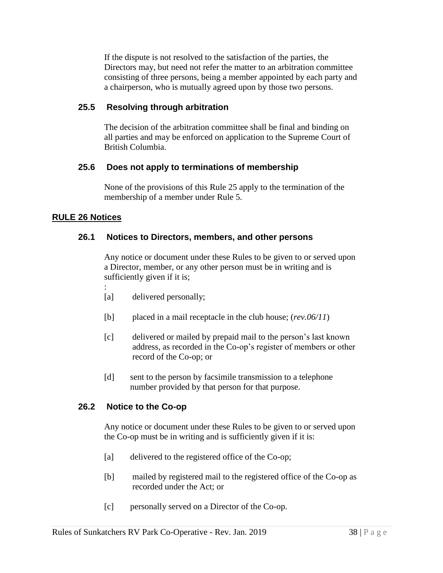If the dispute is not resolved to the satisfaction of the parties, the Directors may, but need not refer the matter to an arbitration committee consisting of three persons, being a member appointed by each party and a chairperson, who is mutually agreed upon by those two persons.

## **25.5 Resolving through arbitration**

The decision of the arbitration committee shall be final and binding on all parties and may be enforced on application to the Supreme Court of British Columbia.

## **25.6 Does not apply to terminations of membership**

None of the provisions of this Rule 25 apply to the termination of the membership of a member under Rule 5.

## **RULE 26 Notices**

## **26.1 Notices to Directors, members, and other persons**

Any notice or document under these Rules to be given to or served upon a Director, member, or any other person must be in writing and is sufficiently given if it is;

- : [a] delivered personally;
- [b] placed in a mail receptacle in the club house; (*rev.06/11*)
- [c] delivered or mailed by prepaid mail to the person's last known address, as recorded in the Co-op's register of members or other record of the Co-op; or
- [d] sent to the person by facsimile transmission to a telephone number provided by that person for that purpose.

#### **26.2 Notice to the Co-op**

Any notice or document under these Rules to be given to or served upon the Co-op must be in writing and is sufficiently given if it is:

- [a] delivered to the registered office of the Co-op;
- [b] mailed by registered mail to the registered office of the Co-op as recorded under the Act; or
- [c] personally served on a Director of the Co-op.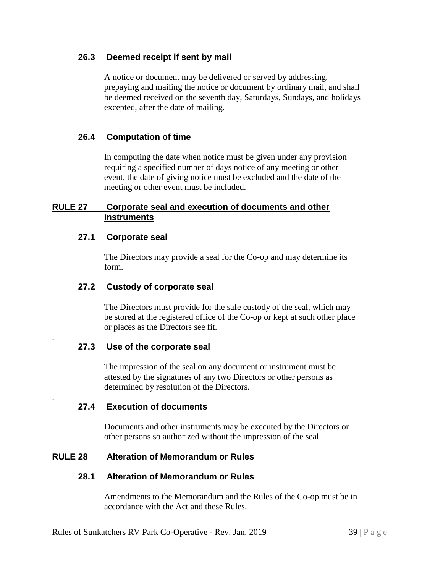#### **26.3 Deemed receipt if sent by mail**

A notice or document may be delivered or served by addressing, prepaying and mailing the notice or document by ordinary mail, and shall be deemed received on the seventh day, Saturdays, Sundays, and holidays excepted, after the date of mailing.

## **26.4 Computation of time**

In computing the date when notice must be given under any provision requiring a specified number of days notice of any meeting or other event, the date of giving notice must be excluded and the date of the meeting or other event must be included.

## **RULE 27 Corporate seal and execution of documents and other instruments**

## **27.1 Corporate seal**

.

.

The Directors may provide a seal for the Co-op and may determine its form.

## **27.2 Custody of corporate seal**

The Directors must provide for the safe custody of the seal, which may be stored at the registered office of the Co-op or kept at such other place or places as the Directors see fit.

#### **27.3 Use of the corporate seal**

The impression of the seal on any document or instrument must be attested by the signatures of any two Directors or other persons as determined by resolution of the Directors.

#### **27.4 Execution of documents**

Documents and other instruments may be executed by the Directors or other persons so authorized without the impression of the seal.

## **RULE 28 Alteration of Memorandum or Rules**

#### **28.1 Alteration of Memorandum or Rules**

Amendments to the Memorandum and the Rules of the Co-op must be in accordance with the Act and these Rules.